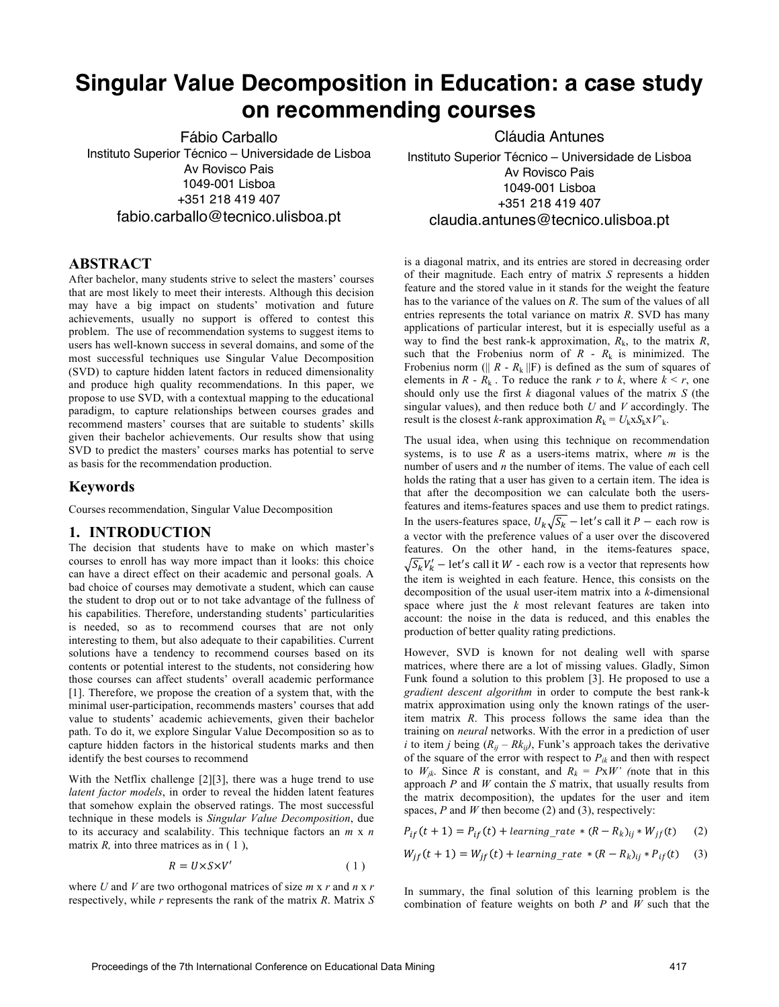# **Singular Value Decomposition in Education: a case study on recommending courses**

Fábio Carballo Instituto Superior Técnico – Universidade de Lisboa Av Rovisco Pais 1049-001 Lisboa +351 218 419 407 fabio.carballo@tecnico.ulisboa.pt

## **ABSTRACT**

After bachelor, many students strive to select the masters' courses that are most likely to meet their interests. Although this decision may have a big impact on students' motivation and future achievements, usually no support is offered to contest this problem. The use of recommendation systems to suggest items to users has well-known success in several domains, and some of the most successful techniques use Singular Value Decomposition (SVD) to capture hidden latent factors in reduced dimensionality and produce high quality recommendations. In this paper, we propose to use SVD, with a contextual mapping to the educational paradigm, to capture relationships between courses grades and recommend masters' courses that are suitable to students' skills given their bachelor achievements. Our results show that using SVD to predict the masters' courses marks has potential to serve as basis for the recommendation production.

### **Keywords**

Courses recommendation, Singular Value Decomposition

### **1. INTRODUCTION**

The decision that students have to make on which master's courses to enroll has way more impact than it looks: this choice can have a direct effect on their academic and personal goals. A bad choice of courses may demotivate a student, which can cause the student to drop out or to not take advantage of the fullness of his capabilities. Therefore, understanding students' particularities is needed, so as to recommend courses that are not only interesting to them, but also adequate to their capabilities. Current solutions have a tendency to recommend courses based on its contents or potential interest to the students, not considering how those courses can affect students' overall academic performance [1]. Therefore, we propose the creation of a system that, with the minimal user-participation, recommends masters' courses that add value to students' academic achievements, given their bachelor path. To do it, we explore Singular Value Decomposition so as to capture hidden factors in the historical students marks and then identify the best courses to recommend

With the Netflix challenge [2][3], there was a huge trend to use *latent factor models*, in order to reveal the hidden latent features that somehow explain the observed ratings. The most successful technique in these models is *Singular Value Decomposition*, due to its accuracy and scalability. This technique factors an *m* x *n* matrix *R*, into three matrices as in (1),

$$
R = U \times S \times V'
$$
 (1)

where *U* and *V* are two orthogonal matrices of size  $m \times r$  and  $n \times r$ respectively, while *r* represents the rank of the matrix *R*. Matrix *S* Cláudia Antunes

Instituto Superior Técnico – Universidade de Lisboa Av Rovisco Pais 1049-001 Lisboa +351 218 419 407 claudia.antunes@tecnico.ulisboa.pt

is a diagonal matrix, and its entries are stored in decreasing order of their magnitude. Each entry of matrix *S* represents a hidden feature and the stored value in it stands for the weight the feature has to the variance of the values on *R*. The sum of the values of all entries represents the total variance on matrix *R*. SVD has many applications of particular interest, but it is especially useful as a way to find the best rank-k approximation,  $R_k$ , to the matrix  $R$ , such that the Frobenius norm of *R* - *R*<sup>k</sup> is minimized. The Frobenius norm ( $|| R - R_k ||F$ ) is defined as the sum of squares of elements in  $R - R_k$ . To reduce the rank  $r$  to  $k$ , where  $k \le r$ , one should only use the first *k* diagonal values of the matrix *S* (the singular values), and then reduce both *U* and *V* accordingly. The result is the closest *k*-rank approximation  $R_k = U_k x S_k x V_k$ .

The usual idea, when using this technique on recommendation systems, is to use *R* as a users-items matrix, where *m* is the number of users and *n* the number of items. The value of each cell holds the rating that a user has given to a certain item. The idea is that after the decomposition we can calculate both the usersfeatures and items-features spaces and use them to predict ratings. In the users-features space,  $U_k \sqrt{S_k}$  – let's call it  $P$  – each row is a vector with the preference values of a user over the discovered features. On the other hand, in the items-features space,  $\overline{S_k}V'_k$  – let's call it W - each row is a vector that represents how the item is weighted in each feature. Hence, this consists on the decomposition of the usual user-item matrix into a *k*-dimensional space where just the *k* most relevant features are taken into account: the noise in the data is reduced, and this enables the production of better quality rating predictions.

However, SVD is known for not dealing well with sparse matrices, where there are a lot of missing values. Gladly, Simon Funk found a solution to this problem [3]. He proposed to use a *gradient descent algorithm* in order to compute the best rank-k matrix approximation using only the known ratings of the useritem matrix *R*. This process follows the same idea than the training on *neural* networks. With the error in a prediction of user *i* to item *j* being  $(R_{ij} - Rk_{ij})$ , Funk's approach takes the derivative of the square of the error with respect to  $P_{ik}$  and then with respect to  $W_{ik}$ . Since *R* is constant, and  $R_k = P x W'$  (note that in this approach *P* and *W* contain the *S* matrix, that usually results from the matrix decomposition), the updates for the user and item spaces, *P* and *W* then become (2) and (3), respectively:

$$
P_{if}(t+1) = P_{if}(t) + learning\_rate * (R - R_k)_{ij} * W_{jf}(t) \tag{2}
$$

$$
W_{if}(t+1) = W_{if}(t) + learning\_rate * (R - R_k)_{ij} * P_{if}(t)
$$
 (3)

In summary, the final solution of this learning problem is the combination of feature weights on both *P* and *W* such that the